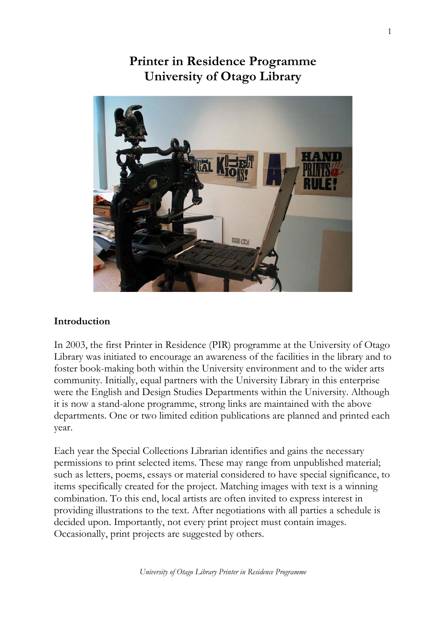# **GEL CITY**

**Printer in Residence Programme University of Otago Library** 

### **Introduction**

In 2003, the first Printer in Residence (PIR) programme at the University of Otago Library was initiated to encourage an awareness of the facilities in the library and to foster book-making both within the University environment and to the wider arts community. Initially, equal partners with the University Library in this enterprise were the English and Design Studies Departments within the University. Although it is now a stand-alone programme, strong links are maintained with the above departments. One or two limited edition publications are planned and printed each year.

Each year the Special Collections Librarian identifies and gains the necessary permissions to print selected items. These may range from unpublished material; such as letters, poems, essays or material considered to have special significance, to items specifically created for the project. Matching images with text is a winning combination. To this end, local artists are often invited to express interest in providing illustrations to the text. After negotiations with all parties a schedule is decided upon. Importantly, not every print project must contain images. Occasionally, print projects are suggested by others.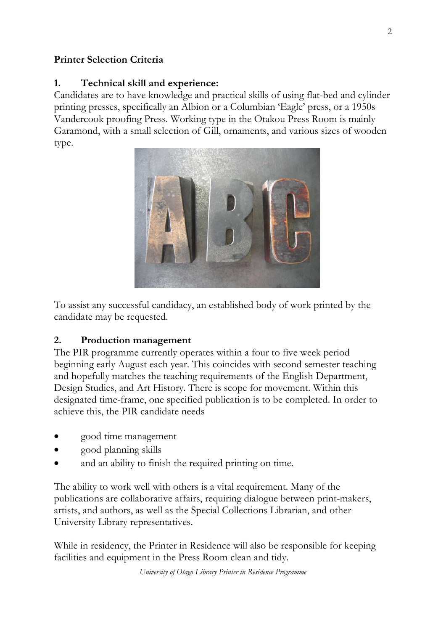### **Printer Selection Criteria**

### **1. Technical skill and experience:**

Candidates are to have knowledge and practical skills of using flat-bed and cylinder printing presses, specifically an Albion or a Columbian 'Eagle' press, or a 1950s Vandercook proofing Press. Working type in the Otakou Press Room is mainly Garamond, with a small selection of Gill, ornaments, and various sizes of wooden type.



To assist any successful candidacy, an established body of work printed by the candidate may be requested.

### **2. Production management**

The PIR programme currently operates within a four to five week period beginning early August each year. This coincides with second semester teaching and hopefully matches the teaching requirements of the English Department, Design Studies, and Art History. There is scope for movement. Within this designated time-frame, one specified publication is to be completed. In order to achieve this, the PIR candidate needs

- good time management
- good planning skills
- and an ability to finish the required printing on time.

The ability to work well with others is a vital requirement. Many of the publications are collaborative affairs, requiring dialogue between print-makers, artists, and authors, as well as the Special Collections Librarian, and other University Library representatives.

While in residency, the Printer in Residence will also be responsible for keeping facilities and equipment in the Press Room clean and tidy.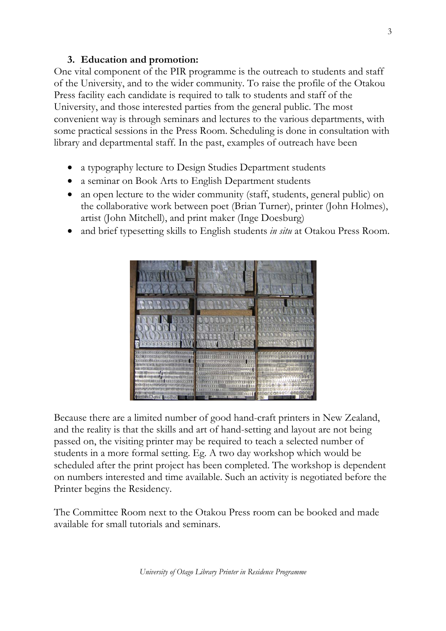### **3. Education and promotion:**

One vital component of the PIR programme is the outreach to students and staff of the University, and to the wider community. To raise the profile of the Otakou Press facility each candidate is required to talk to students and staff of the University, and those interested parties from the general public. The most convenient way is through seminars and lectures to the various departments, with some practical sessions in the Press Room. Scheduling is done in consultation with library and departmental staff. In the past, examples of outreach have been

- a typography lecture to Design Studies Department students
- a seminar on Book Arts to English Department students
- an open lecture to the wider community (staff, students, general public) on the collaborative work between poet (Brian Turner), printer (John Holmes), artist (John Mitchell), and print maker (Inge Doesburg)
- and brief typesetting skills to English students *in situ* at Otakou Press Room.



Because there are a limited number of good hand-craft printers in New Zealand, and the reality is that the skills and art of hand-setting and layout are not being passed on, the visiting printer may be required to teach a selected number of students in a more formal setting. Eg. A two day workshop which would be scheduled after the print project has been completed. The workshop is dependent on numbers interested and time available. Such an activity is negotiated before the Printer begins the Residency.

The Committee Room next to the Otakou Press room can be booked and made available for small tutorials and seminars.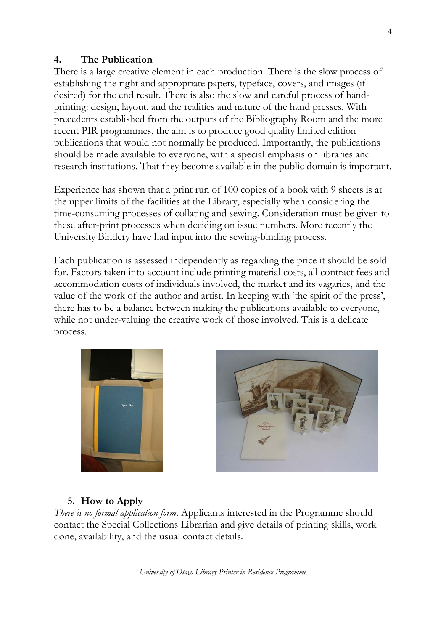### **4. The Publication**

There is a large creative element in each production. There is the slow process of establishing the right and appropriate papers, typeface, covers, and images (if desired) for the end result. There is also the slow and careful process of handprinting: design, layout, and the realities and nature of the hand presses. With precedents established from the outputs of the Bibliography Room and the more recent PIR programmes, the aim is to produce good quality limited edition publications that would not normally be produced. Importantly, the publications should be made available to everyone, with a special emphasis on libraries and research institutions. That they become available in the public domain is important.

Experience has shown that a print run of 100 copies of a book with 9 sheets is at the upper limits of the facilities at the Library, especially when considering the time-consuming processes of collating and sewing. Consideration must be given to these after-print processes when deciding on issue numbers. More recently the University Bindery have had input into the sewing-binding process.

Each publication is assessed independently as regarding the price it should be sold for. Factors taken into account include printing material costs, all contract fees and accommodation costs of individuals involved, the market and its vagaries, and the value of the work of the author and artist. In keeping with 'the spirit of the press', there has to be a balance between making the publications available to everyone, while not under-valuing the creative work of those involved. This is a delicate process.





### **5. How to Apply**

*There is no formal application form*. Applicants interested in the Programme should contact the Special Collections Librarian and give details of printing skills, work done, availability, and the usual contact details.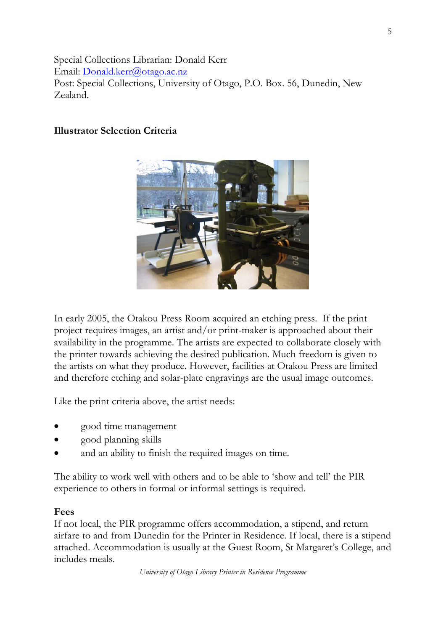Special Collections Librarian: Donald Kerr Email: Donald.kerr@otago.ac.nz Post: Special Collections, University of Otago, P.O. Box. 56, Dunedin, New Zealand.

### **Illustrator Selection Criteria**



In early 2005, the Otakou Press Room acquired an etching press. If the print project requires images, an artist and/or print-maker is approached about their availability in the programme. The artists are expected to collaborate closely with the printer towards achieving the desired publication. Much freedom is given to the artists on what they produce. However, facilities at Otakou Press are limited and therefore etching and solar-plate engravings are the usual image outcomes.

Like the print criteria above, the artist needs:

- good time management
- good planning skills
- and an ability to finish the required images on time.

The ability to work well with others and to be able to 'show and tell' the PIR experience to others in formal or informal settings is required.

### **Fees**

If not local, the PIR programme offers accommodation, a stipend, and return airfare to and from Dunedin for the Printer in Residence. If local, there is a stipend attached. Accommodation is usually at the Guest Room, St Margaret's College, and includes meals.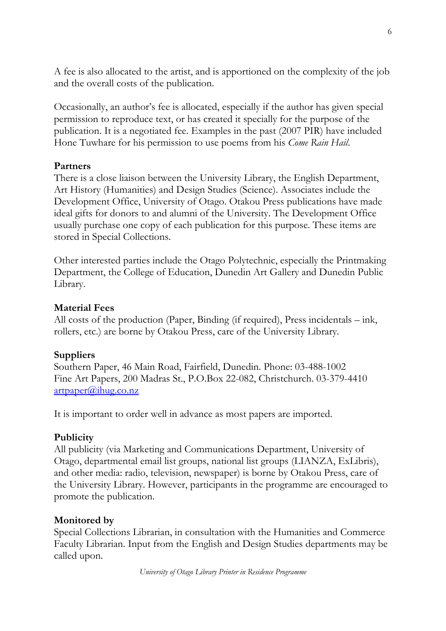A fee is also allocated to the artist, and is apportioned on the complexity of the job and the overall costs of the publication.

Occasionally, an author's fee is allocated, especially if the author has given special permission to reproduce text, or has created it specially for the purpose of the publication. It is a negotiated fee. Examples in the past (2007 PIR) have included Hone Tuwhare for his permission to use poems from his *Come Rain Hail*.

### **Partners**

There is a close liaison between the University Library, the English Department, Art History (Humanities) and Design Studies (Science). Associates include the Development Office, University of Otago. Otakou Press publications have made ideal gifts for donors to and alumni of the University. The Development Office usually purchase one copy of each publication for this purpose. These items are stored in Special Collections.

Other interested parties include the Otago Polytechnic, especially the Printmaking Department, the College of Education, Dunedin Art Gallery and Dunedin Public Library.

### **Material Fees**

All costs of the production (Paper, Binding (if required), Press incidentals – ink, rollers, etc.) are borne by Otakou Press, care of the University Library.

### **Suppliers**

Southern Paper, 46 Main Road, Fairfield, Dunedin. Phone: 03-488-1002 Fine Art Papers, 200 Madras St., P.O.Box 22-082, Christchurch. 03-379-4410 artpaper@ihug.co.nz

It is important to order well in advance as most papers are imported.

### **Publicity**

All publicity (via Marketing and Communications Department, University of Otago, departmental email list groups, national list groups (LIANZA, ExLibris), and other media: radio, television, newspaper) is borne by Otakou Press, care of the University Library. However, participants in the programme are encouraged to promote the publication.

### **Monitored by**

Special Collections Librarian, in consultation with the Humanities and Commerce Faculty Librarian. Input from the English and Design Studies departments may be called upon.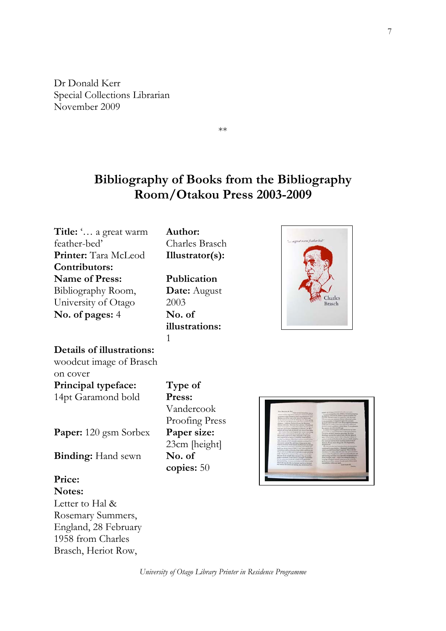Dr Donald Kerr Special Collections Librarian November 2009

1958 from Charles Brasch, Heriot Row,

**Bibliography of Books from the Bibliography Room/Otakou Press 2003-2009** 

\*\*

**Title:** '… a great warm **Author:** feather-bed' Charles Brasch **Printer:** Tara McLeod **Illustrator(s): Contributors: Name of Press: Publication**  Bibliography Room, **Date:** August **harles** University of Otago 2003 lrasch **No. of pages:** 4 **No. of illustrations:** 1 **Details of illustrations:** woodcut image of Brasch on cover **Type of Principal typeface:** 14pt Garamond bold **Press:** Vandercook Proofing Press **Paper:** 120 gsm Sorbex **Paper size:** 23cm [height] **Binding:** Hand sewn **No. of copies:** 50 **Price: Notes:**  Letter to Hal & Rosemary Summers, England, 28 February

*University of Otago Library Printer in Residence Programme* 



7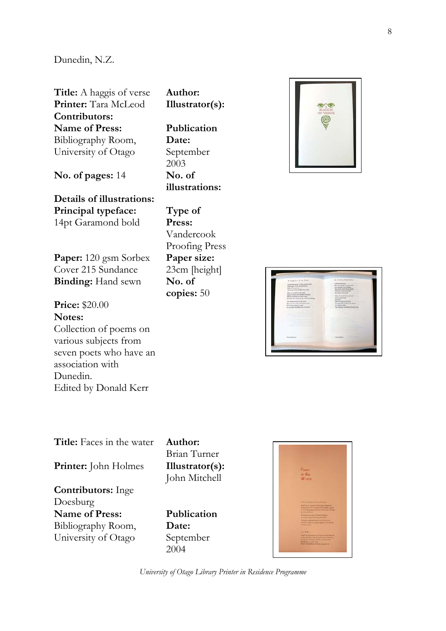### Dunedin, N.Z.

**Title:** A haggis of verse **Author: Printer:** Tara McLeod **Illustrator(s): Contributors: Name of Press:** Bibliography Room, University of Otago

**No. of pages:** 14 **No. of** 

**Details of illustrations: Principal typeface:** 14pt Garamond bold

**Paper:** 120 gsm Sorbex Cover 215 Sundance **Binding:** Hand sewn **No. of** 

**Price:** \$20.00 **Notes:**  Collection of poems on various subjects from seven poets who have an association with Dunedin. Edited by Donald Kerr

**Publication Date:** September 2003 **illustrations:**

**Type of Press:** Vandercook Proofing Press **Paper size:** 23cm [height] **copies:** 50





**Title:** Faces in the water **Author: Printer:** John Holmes **Illustrator(s):** 

**Contributors:** Inge Doesburg **Name of Press:** Bibliography Room, University of Otago

Brian Turner John Mitchell

**Publication Date:** September 2004

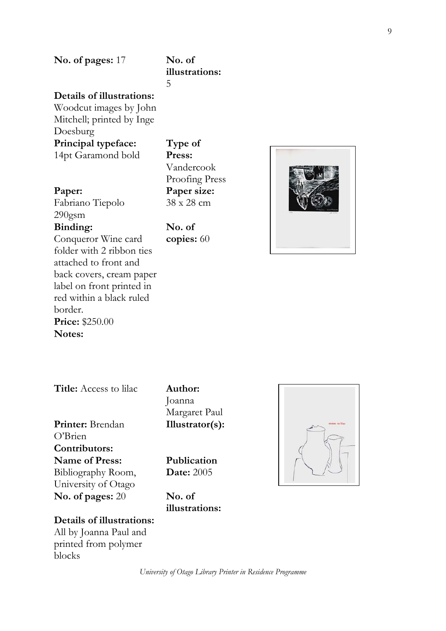## **illustrations:**

5

### **Details of illustrations:**

Woodcut images by John Mitchell; printed by Inge Doesburg **Principal typeface:** 14pt Garamond bold

### **Paper:**

Fabriano Tiepolo 290gsm

### **Binding:**

Conqueror Wine card folder with 2 ribbon ties attached to front and back covers, cream paper label on front printed in red within a black ruled border. **Price:** \$250.00 **Notes:** 

**Type of Press:** Vandercook Proofing Press **Paper size:** 38 x 28 cm

**No. of copies:** 60



### **Title:** Access to lilac **Author:**

**Printer:** Brendan O'Brien **Contributors: Name of Press:** Bibliography Room, University of Otago

Joanna Margaret Paul **Illustrator(s):** 

**Publication Date:** 2005

**No. of pages:** 20 **No. of illustrations:**



### **Details of illustrations:**

All by Joanna Paul and printed from polymer blocks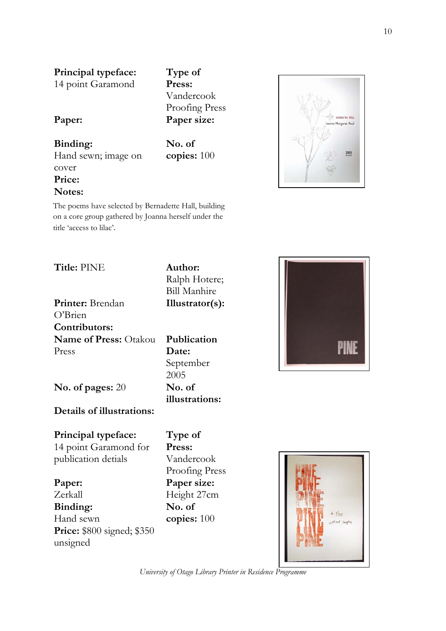**Principal typeface:** 14 point Garamond

**Type of Press:** Vandercook Proofing Press

**No. of copies:** 100

# **Paper: Paper size:**

### **Binding:** Hand sewn; image on cover **Price:**

### **Notes:**

The poems have selected by Bernadette Hall, building on a core group gathered by Joanna herself under the title 'access to lilac'.





**Title:** PINE **Author:**

Ralph Hotere; Bill Manhire **Illustrator(s):** 

**Printer:** Brendan O'Brien **Contributors: Name of Press:** Otakou Press

**Publication Date:** September 2005 **illustrations:**

**No. of pages:** 20 **No. of** 

### **Details of illustrations:**

**Principal typeface:**

14 point Garamond for publication detials

**Paper:** Zerkall **Binding:** Hand sewn **Price:** \$800 signed; \$350 unsigned

**Type of Press:** Vandercook Proofing Press **Paper size:** Height 27cm **No. of copies:** 100



*University of Otago Library Printer in Residence Programme* 

ess to lilad a Margaret Paul

2005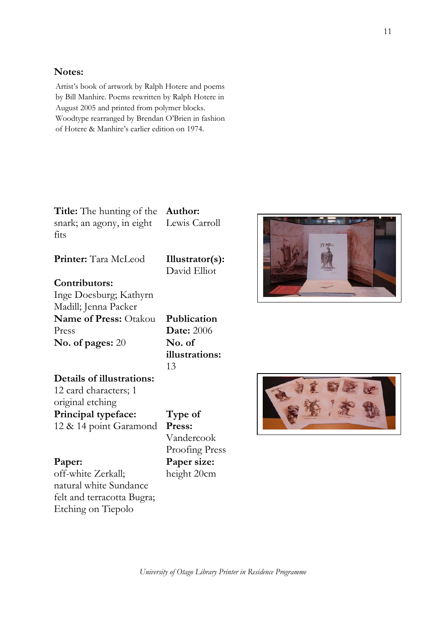### **Notes:**

Artist's book of artwork by Ralph Hotere and poems by Bill Manhire. Poems rewritten by Ralph Hotere in August 2005 and printed from polymer blocks. Woodtype rearranged by Brendan O'Brien in fashion of Hotere & Manhire's earlier edition on 1974.

**Title:** The hunting of the snark; an agony, in eight fits

**Author:** Lewis Carroll

David Elliot

**Printer:** Tara McLeod **Illustrator(s):** 

### **Contributors:**

Inge Doesburg; Kathyrn Madill; Jenna Packer **Name of Press:** Otakou Press **No. of pages:** 20 **No. of** 

**Details of illustrations:** 12 card characters; 1 original etching **Principal typeface:** 12 & 14 point Garamond

### **Paper:**

off-white Zerkall; natural white Sundance felt and terracotta Bugra; Etching on Tiepolo

**Publication Date:** 2006 **illustrations:** 13

**Type of Press:** Vandercook Proofing Press **Paper size:** height 20cm



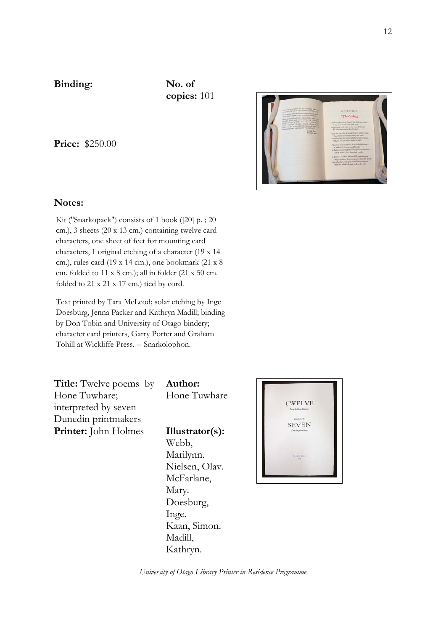### **Binding: No. of**

**copies:** 101

**Price:** \$250.00



Kit ("Snarkopack") consists of 1 book ([20] p. ; 20 cm.), 3 sheets (20 x 13 cm.) containing twelve card characters, one sheet of feet for mounting card characters, 1 original etching of a character (19 x 14 cm.), rules card (19 x 14 cm.), one bookmark (21 x 8 cm. folded to 11 x 8 cm.); all in folder (21 x 50 cm. folded to 21 x 21 x 17 cm.) tied by cord.

Text printed by Tara McLeod; solar etching by Inge Doesburg, Jenna Packer and Kathryn Madill; binding by Don Tobin and University of Otago bindery; character card printers, Garry Porter and Graham Tohill at Wickliffe Press. -- Snarkolophon.

**Title:** Twelve poems by Hone Tuwhare; interpreted by seven Dunedin printmakers **Printer:** John Holmes **Illustrator(s):** 

**Author:** Hone Tuwhare

Webb, Marilynn. Nielsen, Olav. McFarlane, Mary. Doesburg, Inge. Kaan, Simon. Madill, Kathryn.

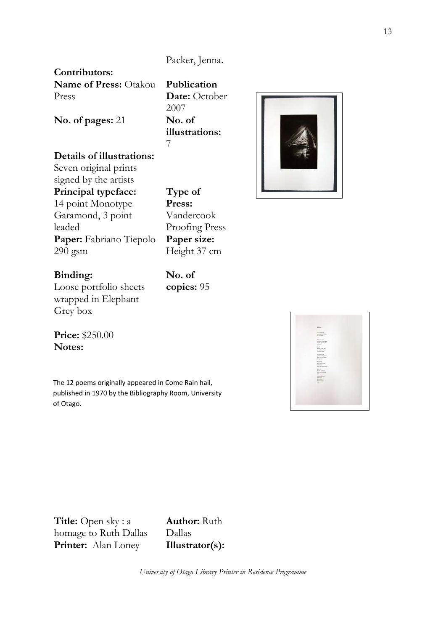### Packer, Jenna.

### **Contributors:**

**Name of Press:** Otakou Press

**Publication Date:** October 2007 **illustrations:** 7



**No. of pages:** 21 **No. of** 

### **Details of illustrations:**

Seven original prints signed by the artists **Principal typeface:** 14 point Monotype Garamond, 3 point leaded **Paper:** Fabriano Tiepolo 290 gsm

**Type of Press:** Vandercook Proofing Press **Paper size:** Height 37 cm

**No. of copies:** 95

### **Binding:**

Loose portfolio sheets wrapped in Elephant Grey box

**Price:** \$250.00 **Notes:** 

 of Otago.The 12 poems originally appeared in Come Rain hail, published in 1970 by the Bibliography Room, University

**Title:** Open sky : a homage to Ruth Dallas **Printer:** Alan Loney **Illustrator(s):** 

**Author:** Ruth Dallas

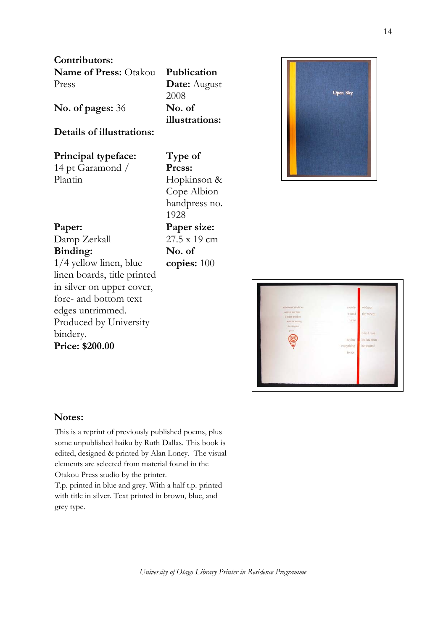**Contributors:** 

| <b>Name of Press: Otakou Publication</b> |                     |
|------------------------------------------|---------------------|
| Press                                    | <b>Date:</b> August |
|                                          | 2008                |

**No. of pages:** 36 **No. of** 

### **Details of illustrations:**

| Principal typeface: |  |  |
|---------------------|--|--|
| 14 pt Garamond /    |  |  |
| Plantin             |  |  |

**Type of Press:** Hopkinson & Cope Albion handpress no. 1928 **Paper size:** 27.5 x 19 cm **No. of copies:** 100

**illustrations:**





### **Notes:**

bindery.

**Price: \$200.00** 

**Paper:**

**Binding:**

Damp Zerkall

1/4 yellow linen, blue linen boards, title printed in silver on upper cover, fore- and bottom text edges untrimmed.

Produced by University

This is a reprint of previously published poems, plus some unpublished haiku by Ruth Dallas. This book is edited, designed & printed by Alan Loney. The visual elements are selected from material found in the Otakou Press studio by the printer.

T.p. printed in blue and grey. With a half t.p. printed with title in silver. Text printed in brown, blue, and grey type.